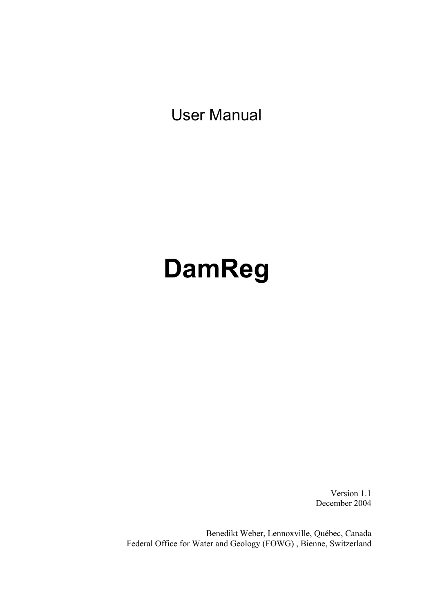User Manual

# **DamReg**

Version 1.1 December 2004

Benedikt Weber, Lennoxville, Québec, Canada Federal Office for Water and Geology (FOWG) , Bienne, Switzerland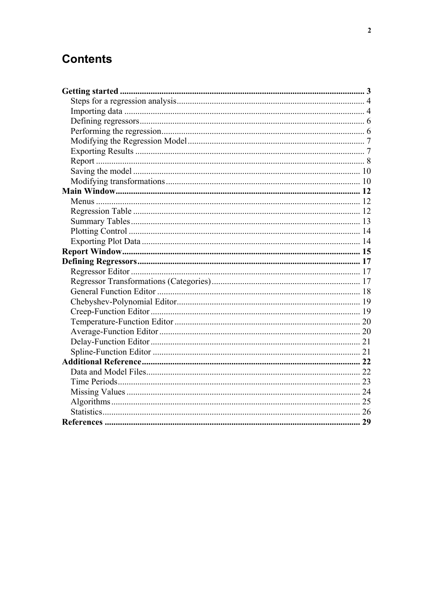# **Contents**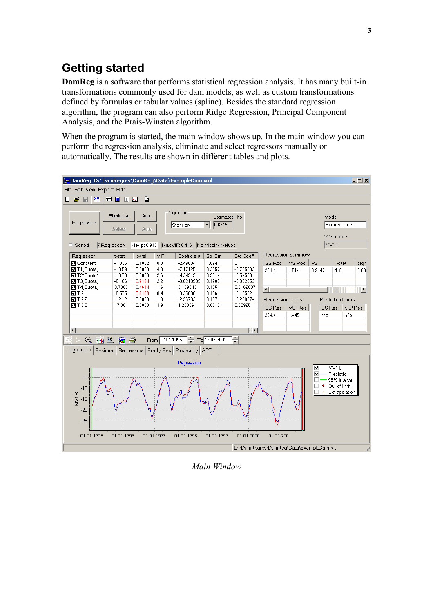# <span id="page-2-0"></span>**Getting started**

**DamReg** is a software that performs statistical regression analysis. It has many built-in transformations commonly used for dam models, as well as custom transformations defined by formulas or tabular values (spline). Besides the standard regression algorithm, the program can also perform Ridge Regression, Principal Component Analysis, and the Prais-Winsten algorithm.

When the program is started, the main window shows up. In the main window you can perform the regression analysis, eliminate and select regressors manually or automatically. The results are shown in different tables and plots.



*Main Window*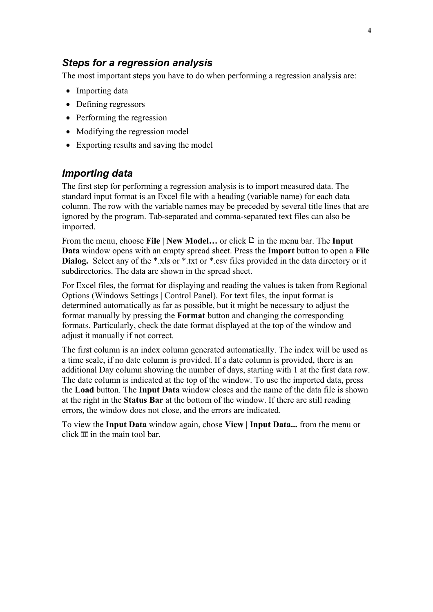### <span id="page-3-0"></span>*Steps for a regression analysis*

The most important steps you have to do when performing a regression analysis are:

- Importing data
- Defining regressors
- Performing the regression
- Modifying the regression model
- Exporting results and saving the model

### *Importing data*

The first step for performing a regression analysis is to import measured data. The standard input format is an Excel file with a heading (variable name) for each data column. The row with the variable names may be preceded by several title lines that are ignored by the program. Tab-separated and comma-separated text files can also be imported.

From the menu, choose **File** | **New Model...** or click  $\Box$  in the menu bar. The **Input Data** window opens with an empty spread sheet. Press the **Import** button to open a **File**  Dialog. Select any of the \*.xls or \*.txt or \*.csv files provided in the data directory or it subdirectories. The data are shown in the spread sheet.

For Excel files, the format for displaying and reading the values is taken from Regional Options (Windows Settings | Control Panel). For text files, the input format is determined automatically as far as possible, but it might be necessary to adjust the format manually by pressing the **Format** button and changing the corresponding formats. Particularly, check the date format displayed at the top of the window and adjust it manually if not correct.

The first column is an index column generated automatically. The index will be used as a time scale, if no date column is provided. If a date column is provided, there is an additional Day column showing the number of days, starting with 1 at the first data row. The date column is indicated at the top of the window. To use the imported data, press the **Load** button. The **Input Data** window closes and the name of the data file is shown at the right in the **Status Bar** at the bottom of the window. If there are still reading errors, the window does not close, and the errors are indicated.

To view the **Input Data** window again, chose **View | Input Data...** from the menu or click  $\overline{m}$  in the main tool bar.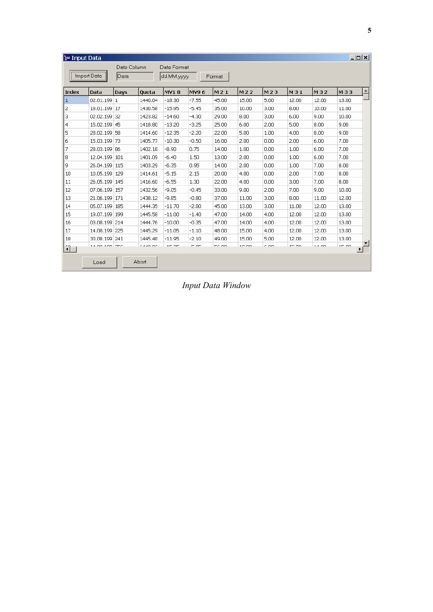| $\Box$ D $\bm{x}$<br>  <mark> ∞</mark> Input Data                          |                |      |          |             |             |       |       |      |       |       |            |   |
|----------------------------------------------------------------------------|----------------|------|----------|-------------|-------------|-------|-------|------|-------|-------|------------|---|
| Date Column<br>Date Format<br>Import Data<br> Data<br>dd.MM.yyyy<br>Format |                |      |          |             |             |       |       |      |       |       |            |   |
| <b>Index</b>                                                               | Data           | Days | Quota    | <b>MV18</b> | <b>MV96</b> | M21   | M22   | M23  | M31   | M32   | <b>M33</b> | ≜ |
| 1                                                                          | 02.01.199 1    |      | 1440.04  | $-18.30$    | $-7.55$     | 45.00 | 15.00 | 5.00 | 12.00 | 12.00 | 13.00      |   |
| 2                                                                          | 18.01.199 17   |      | 1430.58  | $-15.95$    | $-5.45$     | 35.00 | 10.00 | 3.00 | 8.00  | 10.00 | 11.00      |   |
| з                                                                          | 02.02.199 32   |      | 1423.82  | $-14.60$    | $-4.30$     | 29.00 | 8.00  | 3.00 | 6.00  | 9.00  | 10.00      |   |
| 4                                                                          | 15.02.199 45   |      | 1418.80  | $-13.20$    | $-3.25$     | 25.00 | 6.00  | 2.00 | 5.00  | 8.00  | 9,00       |   |
| 5                                                                          | 28.02.199 58   |      | 1414.60  | $-12.35$    | $-2.20$     | 22.00 | 5.00  | 1.00 | 4.00  | 8.00  | 9.00       |   |
| 6                                                                          | 15.03.199 73   |      | 1405.77  | $-10.30$    | $-0.50$     | 16.00 | 2.00  | 0.00 | 2.00  | 6.00  | 7.00       |   |
| 7                                                                          | 28.03.199 86   |      | 1402.18  | $-8.90$     | 0.75        | 14.00 | 1.00  | 0.00 | 1.00  | 6.00  | 7.00       |   |
| 8                                                                          | 12.04.199 101  |      | 1401.09  | $-6.40$     | 1.50        | 13.00 | 2.00  | 0.00 | 1.00  | 6.00  | 7.00       |   |
| 9                                                                          | 26.04.199 115  |      | 1403.29  | $-6.35$     | 0.95        | 14.00 | 2.00  | 0.00 | 1.00  | 7.00  | 8.00       |   |
| 10                                                                         | 10.05.199 129  |      | 1414.61  | $-5.15$     | 2.15        | 20.00 | 4.00  | 0.00 | 2.00  | 7.00  | 8.00       |   |
| 11                                                                         | 26.05.199 145  |      | 1416.60  | $-6.55$     | 1.30        | 22.00 | 4.00  | 0.00 | 3.00  | 7.00  | 8.00       |   |
| 12                                                                         | 07.06.199 157  |      | 1432.56  | $-9.05$     | $-0.45$     | 33.00 | 9.00  | 2.00 | 7.00  | 9.00  | 10.00      |   |
| 13                                                                         | 21.06.199 171  |      | 1438.12  | $-9.85$     | $-0.80$     | 37.00 | 11.00 | 3.00 | 8.00  | 11.00 | 12.00      |   |
| 14                                                                         | 05.07.199 185  |      | 1444.35  | $-11.70$    | $-2.00$     | 45.00 | 13.00 | 3.00 | 11.00 | 12.00 | 13.00      |   |
| 15                                                                         | 19.07.199 199  |      | 1445.58  | $-11.00$    | $-1.40$     | 47.00 | 14.00 | 4.00 | 12.00 | 12.00 | 13.00      |   |
| 16                                                                         | 03.08.199 214  |      | 1444.76  | $-10.00$    | $-0.35$     | 47.00 | 14.00 | 4.00 | 12.00 | 12.00 | 13.00      |   |
| 17                                                                         | 14.08.199 225  |      | 1445.29  | $-11.05$    | $-1.10$     | 48.00 | 15.00 | 4.00 | 12.00 | 12.00 | 13.00      |   |
| 18                                                                         | 30.08.199 241  |      | 1445.48  | $-11.95$    | $-2.10$     | 49.00 | 15.00 | 5.00 | 12.00 | 12.00 | 13.00      |   |
| ïΪ                                                                         | 3.3.00.300.0EC |      | 1.440.00 | sm om       | c.oc        | cc.oo | 10.00 | 0.00 | 10.00 | 1100  | 10.00      |   |
|                                                                            | Load           |      | Abort    |             |             |       |       |      |       |       |            |   |

*Input Data Window*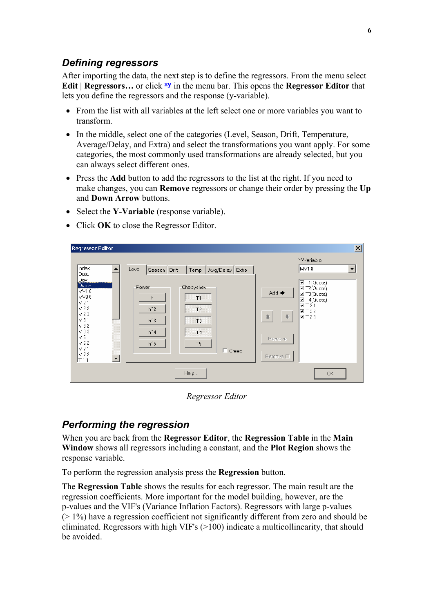# <span id="page-5-0"></span>*Defining regressors*

After importing the data, the next step is to define the regressors. From the menu select **Edit | Regressors...** or click **xy** in the menu bar. This opens the **Regressor Editor** that lets you define the regressors and the response (y-variable).

- From the list with all variables at the left select one or more variables you want to transform.
- In the middle, select one of the categories (Level, Season, Drift, Temperature, Average/Delay, and Extra) and select the transformations you want apply. For some categories, the most commonly used transformations are already selected, but you can always select different ones.
- Press the **Add** button to add the regressors to the list at the right. If you need to make changes, you can **Remove** regressors or change their order by pressing the **Up** and **Down Arrow** buttons.
- Select the **Y-Variable** (response variable).
- Click **OK** to close the Regressor Editor.



*Regressor Editor* 

# *Performing the regression*

When you are back from the **Regressor Editor**, the **Regression Table** in the **Main Window** shows all regressors including a constant, and the **Plot Region** shows the response variable.

To perform the regression analysis press the **Regression** button.

The **Regression Table** shows the results for each regressor. The main result are the regression coefficients. More important for the model building, however, are the p-values and the VIF's (Variance Inflation Factors). Regressors with large p-values (> 1%) have a regression coefficient not significantly different from zero and should be eliminated. Regressors with high VIF's (>100) indicate a multicollinearity, that should be avoided.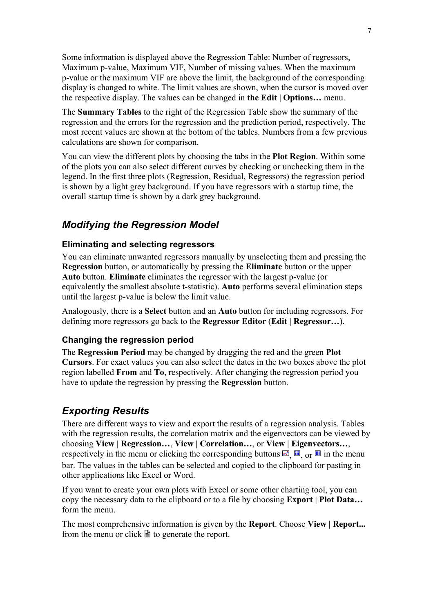<span id="page-6-0"></span>Some information is displayed above the Regression Table: Number of regressors, Maximum p-value, Maximum VIF, Number of missing values. When the maximum p-value or the maximum VIF are above the limit, the background of the corresponding display is changed to white. The limit values are shown, when the cursor is moved over the respective display. The values can be changed in **the Edit | Options…** menu.

The **Summary Tables** to the right of the Regression Table show the summary of the regression and the errors for the regression and the prediction period, respectively. The most recent values are shown at the bottom of the tables. Numbers from a few previous calculations are shown for comparison.

You can view the different plots by choosing the tabs in the **Plot Region**. Within some of the plots you can also select different curves by checking or unchecking them in the legend. In the first three plots (Regression, Residual, Regressors) the regression period is shown by a light grey background. If you have regressors with a startup time, the overall startup time is shown by a dark grey background.

### *Modifying the Regression Model*

#### **Eliminating and selecting regressors**

You can eliminate unwanted regressors manually by unselecting them and pressing the **Regression** button, or automatically by pressing the **Eliminate** button or the upper **Auto** button. **Eliminate** eliminates the regressor with the largest p-value (or equivalently the smallest absolute t-statistic). **Auto** performs several elimination steps until the largest p-value is below the limit value.

Analogously, there is a **Select** button and an **Auto** button for including regressors. For defining more regressors go back to the **Regressor Editor** (**Edit | Regressor…**).

#### **Changing the regression period**

The **Regression Period** may be changed by dragging the red and the green **Plot Cursors**. For exact values you can also select the dates in the two boxes above the plot region labelled **From** and **To**, respectively. After changing the regression period you have to update the regression by pressing the **Regression** button.

### *Exporting Results*

There are different ways to view and export the results of a regression analysis. Tables with the regression results, the correlation matrix and the eigenvectors can be viewed by choosing **View | Regression…**, **View | Correlation…**, or **View | Eigenvectors…**, respectively in the menu or clicking the corresponding buttons  $\mathbb{E}[\mathbb{E}]$  or  $\mathbb{E}[\mathbb{E}]$  or  $\mathbb{E}[\mathbb{E}]$  in the menu bar. The values in the tables can be selected and copied to the clipboard for pasting in other applications like Excel or Word.

If you want to create your own plots with Excel or some other charting tool, you can copy the necessary data to the clipboard or to a file by choosing **Export | Plot Data…** form the menu.

The most comprehensive information is given by the **Report**. Choose **View | Report...** from the menu or click  $\triangleq$  to generate the report.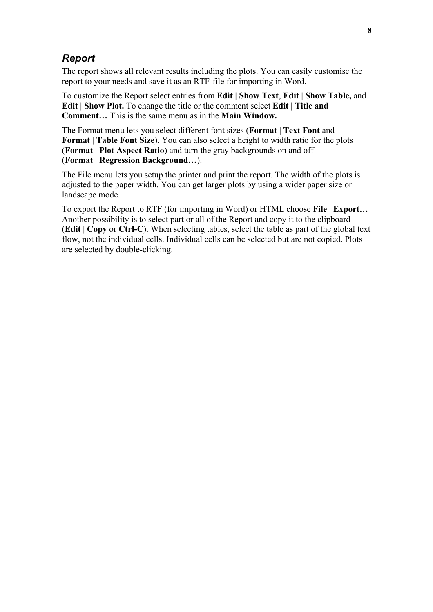# <span id="page-7-0"></span>*Report*

The report shows all relevant results including the plots. You can easily customise the report to your needs and save it as an RTF-file for importing in Word.

To customize the Report select entries from **Edit | Show Text**, **Edit | Show Table,** and **Edit | Show Plot.** To change the title or the comment select **Edit | Title and Comment…** This is the same menu as in the **Main Window.**

The Format menu lets you select different font sizes (**Format | Text Font** and **Format | Table Font Size**). You can also select a height to width ratio for the plots (**Format | Plot Aspect Ratio**) and turn the gray backgrounds on and off (**Format | Regression Background…**).

The File menu lets you setup the printer and print the report. The width of the plots is adjusted to the paper width. You can get larger plots by using a wider paper size or landscape mode.

To export the Report to RTF (for importing in Word) or HTML choose **File | Export…**  Another possibility is to select part or all of the Report and copy it to the clipboard (**Edit | Copy** or **Ctrl-C**). When selecting tables, select the table as part of the global text flow, not the individual cells. Individual cells can be selected but are not copied. Plots are selected by double-clicking.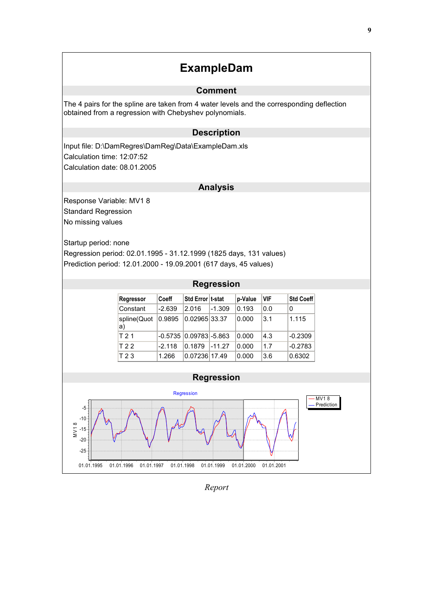# **ExampleDam**

#### **Comment**

The 4 pairs for the spline are taken from 4 water levels and the corresponding deflection obtained from a regression with Chebyshev polynomials.

#### **Description**

Input file: D:\DamRegres\DamReg\Data\ExampleDam.xls Calculation time: 12:07:52 Calculation date: 08.01.2005

#### **Analysis**

Response Variable: MV1 8 Standard Regression No missing values

Startup period: none Regression period: 02.01.1995 - 31.12.1999 (1825 days, 131 values) Prediction period: 12.01.2000 - 19.09.2001 (617 days, 45 values)

| <b>Regression</b>  |              |                   |          |         |            |           |  |  |
|--------------------|--------------|-------------------|----------|---------|------------|-----------|--|--|
| Regressor          | <b>Coeff</b> | Std Error It-stat |          | p-Value | <b>VIF</b> | Std Coeff |  |  |
| Constant           | $-2.639$     | 2.016             | -1.309   | 0.193   | 0.0        | 0         |  |  |
| spline(Quot<br> a) | 0.9895       | 0.02965 33.37     |          | 0.000   | 3.1        | 1.115     |  |  |
| T 2 1              | $-0.5735$    | $0.09783 - 5.863$ |          | 0.000   | 4.3        | $-0.2309$ |  |  |
| T 2 2              | $-2.118$     | 0.1879            | $-11.27$ | 0.000   | 1.7        | $-0.2783$ |  |  |
| T <sub>23</sub>    | 1.266        | 0.07236 17.49     |          | 0.000   | 3.6        | 0.6302    |  |  |



*Report*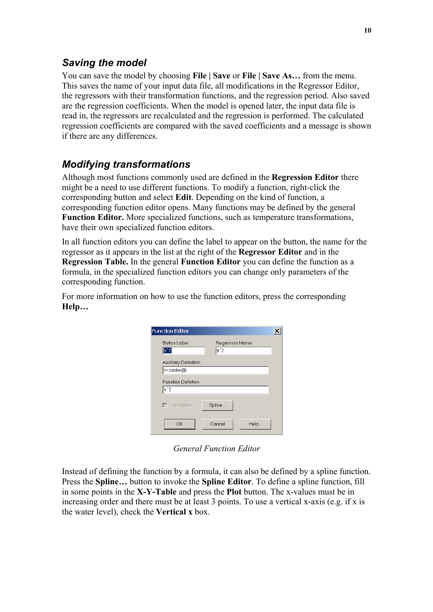# <span id="page-9-0"></span>*Saving the model*

You can save the model by choosing **File | Save** or **File | Save As…** from the menu. This saves the name of your input data file, all modifications in the Regressor Editor, the regressors with their transformation functions, and the regression period. Also saved are the regression coefficients. When the model is opened later, the input data file is read in, the regressors are recalculated and the regression is performed. The calculated regression coefficients are compared with the saved coefficients and a message is shown if there are any differences.

# *Modifying transformations*

Although most functions commonly used are defined in the **Regression Editor** there might be a need to use different functions. To modify a function, right-click the corresponding button and select **Edit**. Depending on the kind of function, a corresponding function editor opens. Many functions may be defined by the general **Function Editor.** More specialized functions, such as temperature transformations, have their own specialized function editors.

In all function editors you can define the label to appear on the button, the name for the regressor as it appears in the list at the right of the **Regressor Editor** and in the **Regression Table.** In the general **Function Editor** you can define the function as a formula, in the specialized function editors you can change only parameters of the corresponding function.

For more information on how to use the function editors, press the corresponding **Help…**

| <b>Function Editor</b>    |                               |  |
|---------------------------|-------------------------------|--|
| <b>Button Label</b>       | Regressor Name<br>$$^{\sim}2$ |  |
| Auxiliary Definition      |                               |  |
| h=center(\$)              |                               |  |
| <b>Function Defintion</b> |                               |  |
| h^2                       |                               |  |
| $\Gamma$ Use Spline       | Spline                        |  |
| OK                        | Cancel<br>Help                |  |

*General Function Editor* 

Instead of defining the function by a formula, it can also be defined by a spline function. Press the **Spline…** button to invoke the **Spline Editor**. To define a spline function, fill in some points in the **X-Y-Table** and press the **Plot** button. The x-values must be in increasing order and there must be at least 3 points. To use a vertical x-axis (e.g. if x is the water level), check the **Vertical x** box.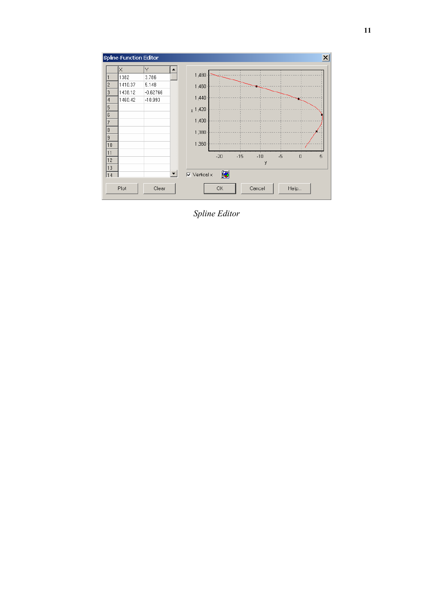

*Spline Editor*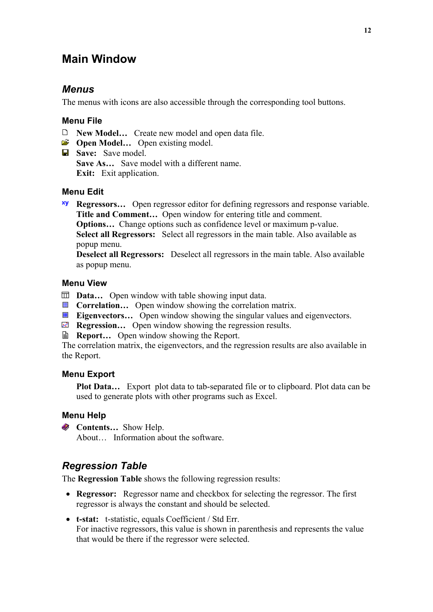# <span id="page-11-0"></span>**Main Window**

### *Menus*

The menus with icons are also accessible through the corresponding tool buttons.

### **Menu File**

- **New Model…** Create new model and open data file.
- *<del>C</del>* Open Model... Open existing model.
- Save: Save model.  **Save As…** Save model with a different name. **Exit:** Exit application.

### **Menu Edit**

 **Regressors…** Open regressor editor for defining regressors and response variable. **Title and Comment…** Open window for entering title and comment.

**Options...** Change options such as confidence level or maximum p-value. **Select all Regressors:** Select all regressors in the main table. Also available as popup menu.

 **Deselect all Regressors:** Deselect all regressors in the main table. Also available as popup menu.

### **Menu View**

- **Data…** Open window with table showing input data.
- **■** Correlation... Open window showing the correlation matrix.
- **■** Eigenvectors... Open window showing the singular values and eigenvectors.
- **Regression...** Open window showing the regression results.
- **Report…** Open window showing the Report.

The correlation matrix, the eigenvectors, and the regression results are also available in the Report.

### **Menu Export**

**Plot Data…** Export plot data to tab-separated file or to clipboard. Plot data can be used to generate plots with other programs such as Excel.

### **Menu Help**

**◆ Contents...** Show Help. About… Information about the software.

### *Regression Table*

The **Regression Table** shows the following regression results:

- **Regressor:** Regressor name and checkbox for selecting the regressor. The first regressor is always the constant and should be selected.
- **t-stat:** t-statistic, equals Coefficient / Std Err. For inactive regressors, this value is shown in parenthesis and represents the value that would be there if the regressor were selected.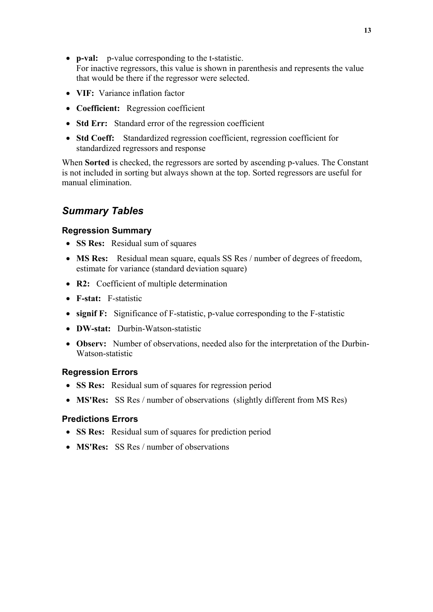- <span id="page-12-0"></span>• **p-val:** p-value corresponding to the t-statistic. For inactive regressors, this value is shown in parenthesis and represents the value that would be there if the regressor were selected.
- **VIF:** Variance inflation factor
- **Coefficient:** Regression coefficient
- **Std Err:** Standard error of the regression coefficient
- **Std Coeff:** Standardized regression coefficient, regression coefficient for standardized regressors and response

When **Sorted** is checked, the regressors are sorted by ascending p-values. The Constant is not included in sorting but always shown at the top. Sorted regressors are useful for manual elimination.

# *Summary Tables*

#### **Regression Summary**

- **SS Res:** Residual sum of squares
- **MS Res:** Residual mean square, equals SS Res / number of degrees of freedom, estimate for variance (standard deviation square)
- **R2:** Coefficient of multiple determination
- **F-stat:** F-statistic
- **signif F:** Significance of F-statistic, p-value corresponding to the F-statistic
- **DW-stat:** Durbin-Watson-statistic
- **Observ:** Number of observations, needed also for the interpretation of the Durbin-Watson-statistic

#### **Regression Errors**

- **SS Res:** Residual sum of squares for regression period
- **MS'Res:** SS Res / number of observations (slightly different from MS Res)

### **Predictions Errors**

- **SS Res:** Residual sum of squares for prediction period
- **MS'Res:** SS Res / number of observations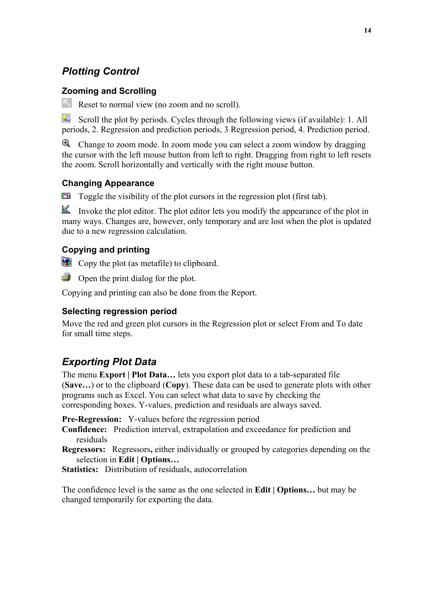# <span id="page-13-0"></span>*Plotting Control*

### **Zooming and Scrolling**

Reset to normal view (no zoom and no scroll).

Scroll the plot by periods. Cycles through the following views (if available): 1. All periods, 2. Regression and prediction periods, 3 Regression period, 4. Prediction period.

Change to zoom mode. In zoom mode you can select a zoom window by dragging the cursor with the left mouse button from left to right. Dragging from right to left resets the zoom. Scroll horizontally and vertically with the right mouse button.

### **Changing Appearance**

Toggle the visibility of the plot cursors in the regression plot (first tab).

Invoke the plot editor. The plot editor lets you modify the appearance of the plot in many ways. Changes are, however, only temporary and are lost when the plot is updated due to a new regression calculation.

### **Copying and printing**

Copy the plot (as metafile) to clipboard.

 $\Box$  Open the print dialog for the plot.

Copying and printing can also be done from the Report.

### **Selecting regression period**

Move the red and green plot cursors in the Regression plot or select From and To date for small time steps.

# *Exporting Plot Data*

The menu **Export | Plot Data…** lets you export plot data to a tab-separated file (**Save…**) or to the clipboard (**Copy**). These data can be used to generate plots with other programs such as Excel. You can select what data to save by checking the corresponding boxes. Y-values, prediction and residuals are always saved.

**Pre-Regression:** Y-values before the regression period

- **Confidence:** Prediction interval, extrapolation and exceedance for prediction and residuals
- **Regressors:** Regressors**,** either individually or grouped by categories depending on the selection in **Edit | Options…**
- **Statistics:** Distribution of residuals, autocorrelation

The confidence level is the same as the one selected in **Edit | Options…** but may be changed temporarily for exporting the data.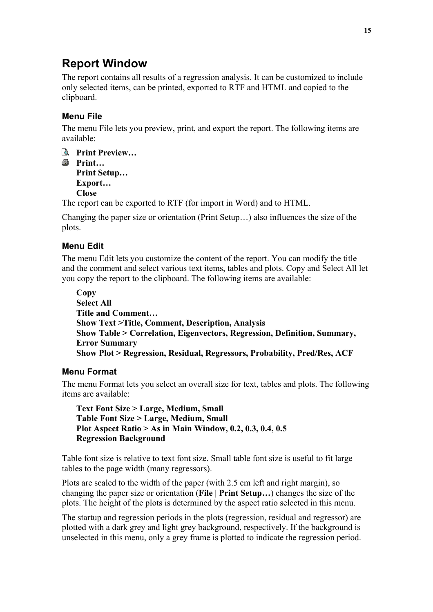# <span id="page-14-0"></span>**Report Window**

The report contains all results of a regression analysis. It can be customized to include only selected items, can be printed, exported to RTF and HTML and copied to the clipboard.

### **Menu File**

The menu File lets you preview, print, and export the report. The following items are available:

**Print Preview… Print… Print Setup… Export… Close**  The report can be exported to RTF (for import in Word) and to HTML.

Changing the paper size or orientation (Print Setup…) also influences the size of the plots.

### **Menu Edit**

The menu Edit lets you customize the content of the report. You can modify the title and the comment and select various text items, tables and plots. Copy and Select All let you copy the report to the clipboard. The following items are available:

 **Copy Select All Title and Comment… Show Text >Title, Comment, Description, Analysis Show Table > Correlation, Eigenvectors, Regression, Definition, Summary, Error Summary Show Plot > Regression, Residual, Regressors, Probability, Pred/Res, ACF** 

### **Menu Format**

The menu Format lets you select an overall size for text, tables and plots. The following items are available:

**Text Font Size > Large, Medium, Small Table Font Size > Large, Medium, Small Plot Aspect Ratio > As in Main Window, 0.2, 0.3, 0.4, 0.5 Regression Background** 

Table font size is relative to text font size. Small table font size is useful to fit large tables to the page width (many regressors).

Plots are scaled to the width of the paper (with 2.5 cm left and right margin), so changing the paper size or orientation (**File | Print Setup…**) changes the size of the plots. The height of the plots is determined by the aspect ratio selected in this menu.

The startup and regression periods in the plots (regression, residual and regressor) are plotted with a dark grey and light grey background, respectively. If the background is unselected in this menu, only a grey frame is plotted to indicate the regression period.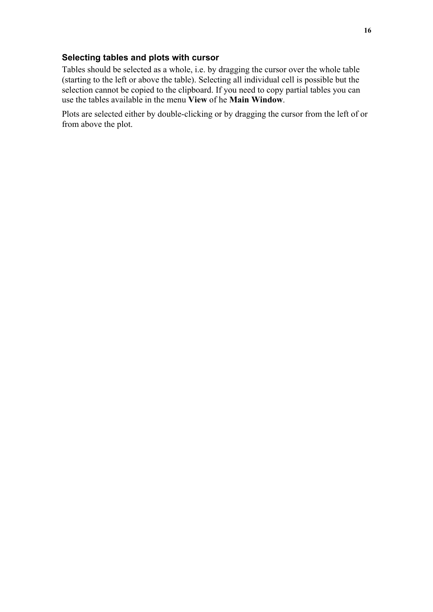#### **Selecting tables and plots with cursor**

Tables should be selected as a whole, i.e. by dragging the cursor over the whole table (starting to the left or above the table). Selecting all individual cell is possible but the selection cannot be copied to the clipboard. If you need to copy partial tables you can use the tables available in the menu **View** of he **Main Window**.

Plots are selected either by double-clicking or by dragging the cursor from the left of or from above the plot.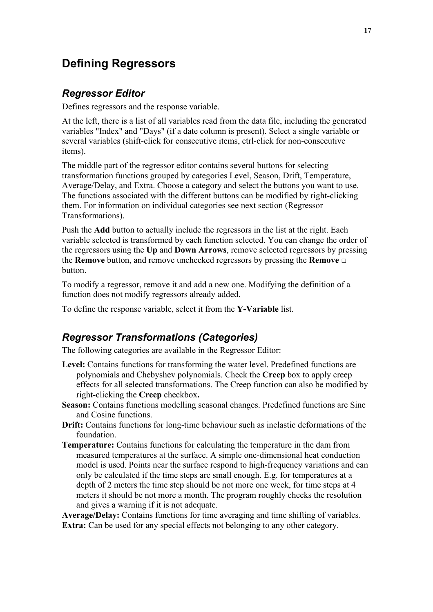# <span id="page-16-0"></span>**Defining Regressors**

### *Regressor Editor*

Defines regressors and the response variable.

At the left, there is a list of all variables read from the data file, including the generated variables "Index" and "Days" (if a date column is present). Select a single variable or several variables (shift-click for consecutive items, ctrl-click for non-consecutive items).

The middle part of the regressor editor contains several buttons for selecting transformation functions grouped by categories Level, Season, Drift, Temperature, Average/Delay, and Extra. Choose a category and select the buttons you want to use. The functions associated with the different buttons can be modified by right-clicking them. For information on individual categories see next section (Regressor Transformations).

Push the **Add** button to actually include the regressors in the list at the right. Each variable selected is transformed by each function selected. You can change the order of the regressors using the **Up** and **Down Arrows**, remove selected regressors by pressing the **Remove** button, and remove unchecked regressors by pressing the **Remove □** button.

To modify a regressor, remove it and add a new one. Modifying the definition of a function does not modify regressors already added.

To define the response variable, select it from the **Y-Variable** list.

### *Regressor Transformations (Categories)*

The following categories are available in the Regressor Editor:

- **Level:** Contains functions for transforming the water level. Predefined functions are polynomials and Chebyshev polynomials. Check the **Creep** box to apply creep effects for all selected transformations. The Creep function can also be modified by right-clicking the **Creep** checkbox**.**
- **Season:** Contains functions modelling seasonal changes. Predefined functions are Sine and Cosine functions.
- **Drift:** Contains functions for long-time behaviour such as inelastic deformations of the foundation.
- **Temperature:** Contains functions for calculating the temperature in the dam from measured temperatures at the surface. A simple one-dimensional heat conduction model is used. Points near the surface respond to high-frequency variations and can only be calculated if the time steps are small enough. E.g. for temperatures at a depth of 2 meters the time step should be not more one week, for time steps at 4 meters it should be not more a month. The program roughly checks the resolution and gives a warning if it is not adequate.

**Average/Delay:** Contains functions for time averaging and time shifting of variables. **Extra:** Can be used for any special effects not belonging to any other category.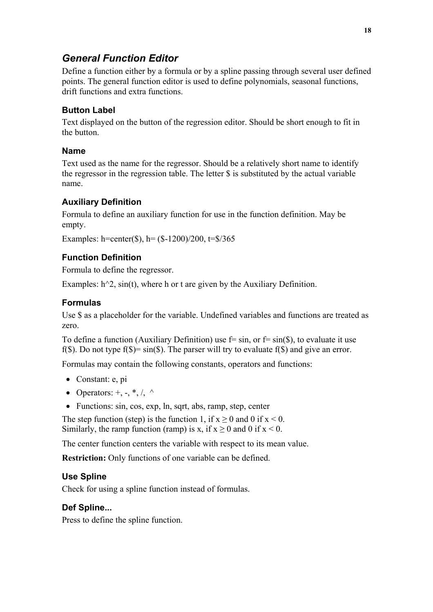# <span id="page-17-0"></span>*General Function Editor*

Define a function either by a formula or by a spline passing through several user defined points. The general function editor is used to define polynomials, seasonal functions, drift functions and extra functions.

### **Button Label**

Text displayed on the button of the regression editor. Should be short enough to fit in the button.

### **Name**

Text used as the name for the regressor. Should be a relatively short name to identify the regressor in the regression table. The letter \$ is substituted by the actual variable name.

### **Auxiliary Definition**

Formula to define an auxiliary function for use in the function definition. May be empty.

Examples: h=center(\$), h=  $(\text{$}1200)/200, \text{$}115/365$ 

### **Function Definition**

Formula to define the regressor.

Examples:  $h^2$ , sin(t), where h or t are given by the Auxiliary Definition.

### **Formulas**

Use \$ as a placeholder for the variable. Undefined variables and functions are treated as zero.

To define a function (Auxiliary Definition) use  $f = \sin$ , or  $f = \sin(\theta)$ , to evaluate it use f(\$). Do not type  $f(\$)=\sin(\$)$ . The parser will try to evaluate  $f(\$)$  and give an error.

Formulas may contain the following constants, operators and functions:

- Constant: e, pi
- Operators:  $+, -, *, /, \triangle$
- Functions: sin, cos, exp, ln, sqrt, abs, ramp, step, center

The step function (step) is the function 1, if  $x > 0$  and 0 if  $x < 0$ . Similarly, the ramp function (ramp) is x, if  $x \ge 0$  and 0 if  $x < 0$ .

The center function centers the variable with respect to its mean value.

**Restriction:** Only functions of one variable can be defined.

### **Use Spline**

Check for using a spline function instead of formulas.

### **Def Spline...**

Press to define the spline function.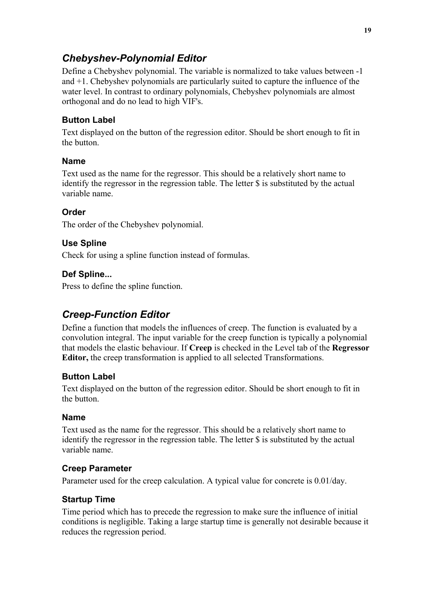# <span id="page-18-0"></span>*Chebyshev-Polynomial Editor*

Define a Chebyshev polynomial. The variable is normalized to take values between -1 and +1. Chebyshev polynomials are particularly suited to capture the influence of the water level. In contrast to ordinary polynomials, Chebyshev polynomials are almost orthogonal and do no lead to high VIF's.

### **Button Label**

Text displayed on the button of the regression editor. Should be short enough to fit in the button.

### **Name**

Text used as the name for the regressor. This should be a relatively short name to identify the regressor in the regression table. The letter \$ is substituted by the actual variable name.

### **Order**

The order of the Chebyshev polynomial.

### **Use Spline**

Check for using a spline function instead of formulas.

### **Def Spline...**

Press to define the spline function.

# *Creep-Function Editor*

Define a function that models the influences of creep. The function is evaluated by a convolution integral. The input variable for the creep function is typically a polynomial that models the elastic behaviour. If **Creep** is checked in the Level tab of the **Regressor Editor,** the creep transformation is applied to all selected Transformations.

### **Button Label**

Text displayed on the button of the regression editor. Should be short enough to fit in the button.

### **Name**

Text used as the name for the regressor. This should be a relatively short name to identify the regressor in the regression table. The letter \$ is substituted by the actual variable name.

### **Creep Parameter**

Parameter used for the creep calculation. A typical value for concrete is 0.01/day.

### **Startup Time**

Time period which has to precede the regression to make sure the influence of initial conditions is negligible. Taking a large startup time is generally not desirable because it reduces the regression period.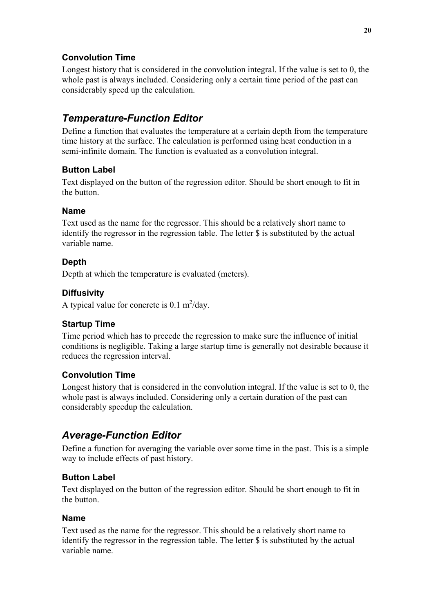### <span id="page-19-0"></span>**Convolution Time**

Longest history that is considered in the convolution integral. If the value is set to 0, the whole past is always included. Considering only a certain time period of the past can considerably speed up the calculation.

# *Temperature-Function Editor*

Define a function that evaluates the temperature at a certain depth from the temperature time history at the surface. The calculation is performed using heat conduction in a semi-infinite domain. The function is evaluated as a convolution integral.

### **Button Label**

Text displayed on the button of the regression editor. Should be short enough to fit in the button.

### **Name**

Text used as the name for the regressor. This should be a relatively short name to identify the regressor in the regression table. The letter \$ is substituted by the actual variable name.

### **Depth**

Depth at which the temperature is evaluated (meters).

### **Diffusivity**

A typical value for concrete is  $0.1 \text{ m}^2/\text{day}$ .

### **Startup Time**

Time period which has to precede the regression to make sure the influence of initial conditions is negligible. Taking a large startup time is generally not desirable because it reduces the regression interval.

### **Convolution Time**

Longest history that is considered in the convolution integral. If the value is set to 0, the whole past is always included. Considering only a certain duration of the past can considerably speedup the calculation.

# *Average-Function Editor*

Define a function for averaging the variable over some time in the past. This is a simple way to include effects of past history.

### **Button Label**

Text displayed on the button of the regression editor. Should be short enough to fit in the button.

### **Name**

Text used as the name for the regressor. This should be a relatively short name to identify the regressor in the regression table. The letter \$ is substituted by the actual variable name.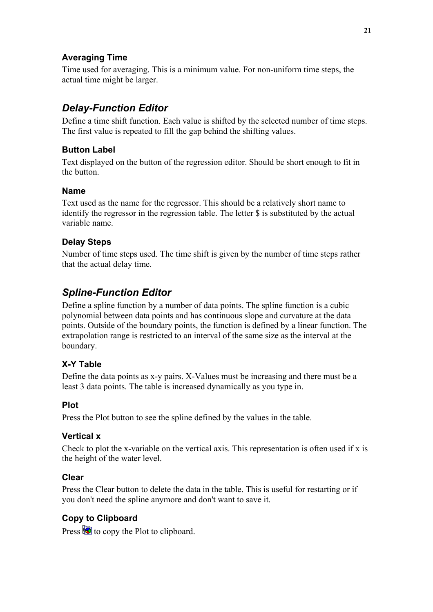### <span id="page-20-0"></span>**Averaging Time**

Time used for averaging. This is a minimum value. For non-uniform time steps, the actual time might be larger.

# *Delay-Function Editor*

Define a time shift function. Each value is shifted by the selected number of time steps. The first value is repeated to fill the gap behind the shifting values.

### **Button Label**

Text displayed on the button of the regression editor. Should be short enough to fit in the button.

### **Name**

Text used as the name for the regressor. This should be a relatively short name to identify the regressor in the regression table. The letter \$ is substituted by the actual variable name.

### **Delay Steps**

Number of time steps used. The time shift is given by the number of time steps rather that the actual delay time.

# *Spline-Function Editor*

Define a spline function by a number of data points. The spline function is a cubic polynomial between data points and has continuous slope and curvature at the data points. Outside of the boundary points, the function is defined by a linear function. The extrapolation range is restricted to an interval of the same size as the interval at the boundary.

### **X-Y Table**

Define the data points as x-y pairs. X-Values must be increasing and there must be a least 3 data points. The table is increased dynamically as you type in.

### **Plot**

Press the Plot button to see the spline defined by the values in the table.

### **Vertical x**

Check to plot the x-variable on the vertical axis. This representation is often used if x is the height of the water level.

### **Clear**

Press the Clear button to delete the data in the table. This is useful for restarting or if you don't need the spline anymore and don't want to save it.

### **Copy to Clipboard**

Press to copy the Plot to clipboard.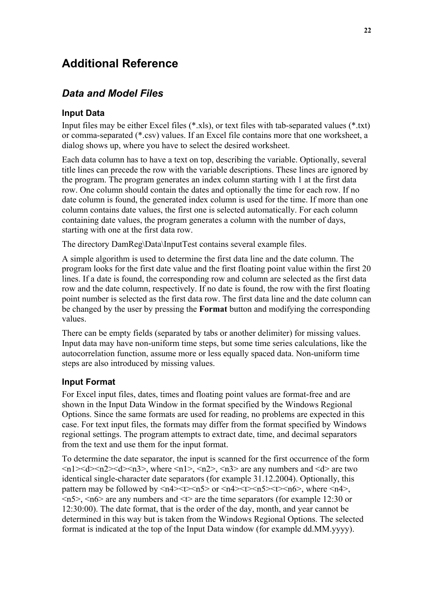# <span id="page-21-0"></span>**Additional Reference**

### *Data and Model Files*

### **Input Data**

Input files may be either Excel files (\*.xls), or text files with tab-separated values (\*.txt) or comma-separated (\*.csv) values. If an Excel file contains more that one worksheet, a dialog shows up, where you have to select the desired worksheet.

Each data column has to have a text on top, describing the variable. Optionally, several title lines can precede the row with the variable descriptions. These lines are ignored by the program. The program generates an index column starting with 1 at the first data row. One column should contain the dates and optionally the time for each row. If no date column is found, the generated index column is used for the time. If more than one column contains date values, the first one is selected automatically. For each column containing date values, the program generates a column with the number of days, starting with one at the first data row.

The directory DamReg\Data\InputTest contains several example files.

A simple algorithm is used to determine the first data line and the date column. The program looks for the first date value and the first floating point value within the first 20 lines. If a date is found, the corresponding row and column are selected as the first data row and the date column, respectively. If no date is found, the row with the first floating point number is selected as the first data row. The first data line and the date column can be changed by the user by pressing the **Format** button and modifying the corresponding values.

There can be empty fields (separated by tabs or another delimiter) for missing values. Input data may have non-uniform time steps, but some time series calculations, like the autocorrelation function, assume more or less equally spaced data. Non-uniform time steps are also introduced by missing values.

#### **Input Format**

For Excel input files, dates, times and floating point values are format-free and are shown in the Input Data Window in the format specified by the Windows Regional Options. Since the same formats are used for reading, no problems are expected in this case. For text input files, the formats may differ from the format specified by Windows regional settings. The program attempts to extract date, time, and decimal separators from the text and use them for the input format.

To determine the date separator, the input is scanned for the first occurrence of the form  $\langle n1 \rangle \langle d \rangle \langle n2 \rangle \langle d \rangle$  where  $\langle n1 \rangle$ ,  $\langle n2 \rangle$ ,  $\langle n3 \rangle$  are any numbers and  $\langle d \rangle$  are two identical single-character date separators (for example 31.12.2004). Optionally, this pattern may be followed by  $\langle n4 \rangle \langle t \rangle \langle n5 \rangle$  or  $\langle n4 \rangle \langle t \rangle \langle n5 \rangle \langle t \rangle \langle n6 \rangle$ , where  $\langle n4 \rangle$ ,  $\langle n5 \rangle$ ,  $\langle n6 \rangle$  are any numbers and  $\langle t \rangle$  are the time separators (for example 12:30 or 12:30:00). The date format, that is the order of the day, month, and year cannot be determined in this way but is taken from the Windows Regional Options. The selected format is indicated at the top of the Input Data window (for example dd.MM.yyyy).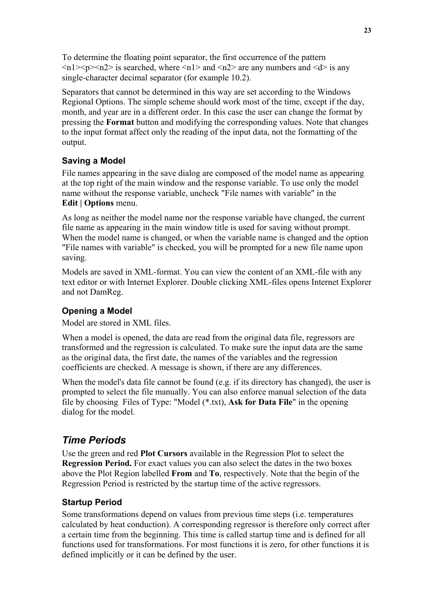<span id="page-22-0"></span>To determine the floating point separator, the first occurrence of the pattern  $\langle n1 \rangle \langle p \rangle \langle n2 \rangle$  is searched, where  $\langle n1 \rangle$  and  $\langle n2 \rangle$  are any numbers and  $\langle d \rangle$  is any single-character decimal separator (for example 10.2).

Separators that cannot be determined in this way are set according to the Windows Regional Options. The simple scheme should work most of the time, except if the day, month, and year are in a different order. In this case the user can change the format by pressing the **Format** button and modifying the corresponding values. Note that changes to the input format affect only the reading of the input data, not the formatting of the output.

### **Saving a Model**

File names appearing in the save dialog are composed of the model name as appearing at the top right of the main window and the response variable. To use only the model name without the response variable, uncheck "File names with variable" in the **Edit | Options** menu.

As long as neither the model name nor the response variable have changed, the current file name as appearing in the main window title is used for saving without prompt. When the model name is changed, or when the variable name is changed and the option "File names with variable" is checked, you will be prompted for a new file name upon saving.

Models are saved in XML-format. You can view the content of an XML-file with any text editor or with Internet Explorer. Double clicking XML-files opens Internet Explorer and not DamReg.

### **Opening a Model**

Model are stored in XML files.

When a model is opened, the data are read from the original data file, regressors are transformed and the regression is calculated. To make sure the input data are the same as the original data, the first date, the names of the variables and the regression coefficients are checked. A message is shown, if there are any differences.

When the model's data file cannot be found (e.g. if its directory has changed), the user is prompted to select the file manually. You can also enforce manual selection of the data file by choosing Files of Type: "Model (\*.txt), **Ask for Data File**" in the opening dialog for the model.

### *Time Periods*

Use the green and red **Plot Cursors** available in the Regression Plot to select the **Regression Period.** For exact values you can also select the dates in the two boxes above the Plot Region labelled **From** and **To**, respectively. Note that the begin of the Regression Period is restricted by the startup time of the active regressors.

### **Startup Period**

Some transformations depend on values from previous time steps (i.e. temperatures calculated by heat conduction). A corresponding regressor is therefore only correct after a certain time from the beginning. This time is called startup time and is defined for all functions used for transformations. For most functions it is zero, for other functions it is defined implicitly or it can be defined by the user.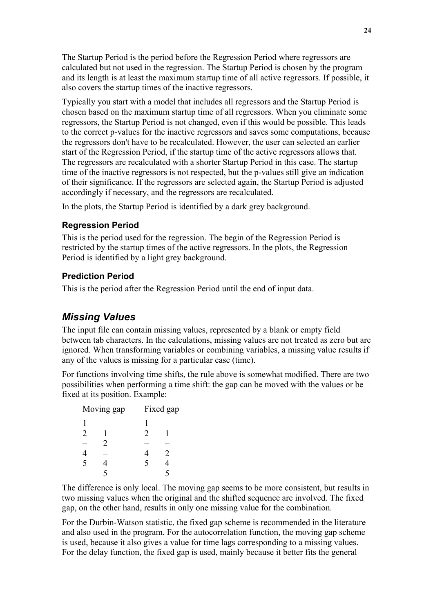<span id="page-23-0"></span>The Startup Period is the period before the Regression Period where regressors are calculated but not used in the regression. The Startup Period is chosen by the program and its length is at least the maximum startup time of all active regressors. If possible, it also covers the startup times of the inactive regressors.

Typically you start with a model that includes all regressors and the Startup Period is chosen based on the maximum startup time of all regressors. When you eliminate some regressors, the Startup Period is not changed, even if this would be possible. This leads to the correct p-values for the inactive regressors and saves some computations, because the regressors don't have to be recalculated. However, the user can selected an earlier start of the Regression Period, if the startup time of the active regressors allows that. The regressors are recalculated with a shorter Startup Period in this case. The startup time of the inactive regressors is not respected, but the p-values still give an indication of their significance. If the regressors are selected again, the Startup Period is adjusted accordingly if necessary, and the regressors are recalculated.

In the plots, the Startup Period is identified by a dark grey background.

### **Regression Period**

This is the period used for the regression. The begin of the Regression Period is restricted by the startup times of the active regressors. In the plots, the Regression Period is identified by a light grey background.

### **Prediction Period**

This is the period after the Regression Period until the end of input data.

### *Missing Values*

The input file can contain missing values, represented by a blank or empty field between tab characters. In the calculations, missing values are not treated as zero but are ignored. When transforming variables or combining variables, a missing value results if any of the values is missing for a particular case (time).

For functions involving time shifts, the rule above is somewhat modified. There are two possibilities when performing a time shift: the gap can be moved with the values or be fixed at its position. Example:

|                             | Moving gap    | Fixed gap      |   |  |  |
|-----------------------------|---------------|----------------|---|--|--|
|                             |               |                |   |  |  |
| $\mathcal{D}_{\mathcal{L}}$ |               | $\overline{2}$ |   |  |  |
|                             | $\mathcal{D}$ |                |   |  |  |
|                             |               |                | 2 |  |  |
| 5                           |               | 5              |   |  |  |
|                             |               |                |   |  |  |

The difference is only local. The moving gap seems to be more consistent, but results in two missing values when the original and the shifted sequence are involved. The fixed gap, on the other hand, results in only one missing value for the combination.

For the Durbin-Watson statistic, the fixed gap scheme is recommended in the literature and also used in the program. For the autocorrelation function, the moving gap scheme is used, because it also gives a value for time lags corresponding to a missing values. For the delay function, the fixed gap is used, mainly because it better fits the general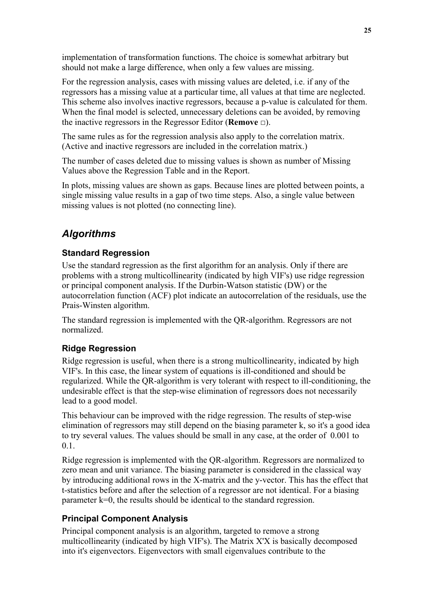<span id="page-24-0"></span>implementation of transformation functions. The choice is somewhat arbitrary but should not make a large difference, when only a few values are missing.

For the regression analysis, cases with missing values are deleted, i.e. if any of the regressors has a missing value at a particular time, all values at that time are neglected. This scheme also involves inactive regressors, because a p-value is calculated for them. When the final model is selected, unnecessary deletions can be avoided, by removing the inactive regressors in the Regressor Editor (**Remove □**).

The same rules as for the regression analysis also apply to the correlation matrix. (Active and inactive regressors are included in the correlation matrix.)

The number of cases deleted due to missing values is shown as number of Missing Values above the Regression Table and in the Report.

In plots, missing values are shown as gaps. Because lines are plotted between points, a single missing value results in a gap of two time steps. Also, a single value between missing values is not plotted (no connecting line).

# *Algorithms*

### **Standard Regression**

Use the standard regression as the first algorithm for an analysis. Only if there are problems with a strong multicollinearity (indicated by high VIF's) use ridge regression or principal component analysis. If the Durbin-Watson statistic (DW) or the autocorrelation function (ACF) plot indicate an autocorrelation of the residuals, use the Prais-Winsten algorithm.

The standard regression is implemented with the QR-algorithm. Regressors are not normalized.

### **Ridge Regression**

Ridge regression is useful, when there is a strong multicollinearity, indicated by high VIF's. In this case, the linear system of equations is ill-conditioned and should be regularized. While the QR-algorithm is very tolerant with respect to ill-conditioning, the undesirable effect is that the step-wise elimination of regressors does not necessarily lead to a good model.

This behaviour can be improved with the ridge regression. The results of step-wise elimination of regressors may still depend on the biasing parameter k, so it's a good idea to try several values. The values should be small in any case, at the order of 0.001 to 0.1.

Ridge regression is implemented with the QR-algorithm. Regressors are normalized to zero mean and unit variance. The biasing parameter is considered in the classical way by introducing additional rows in the X-matrix and the y-vector. This has the effect that t-statistics before and after the selection of a regressor are not identical. For a biasing parameter k=0, the results should be identical to the standard regression.

### **Principal Component Analysis**

Principal component analysis is an algorithm, targeted to remove a strong multicollinearity (indicated by high VIF's). The Matrix X'X is basically decomposed into it's eigenvectors. Eigenvectors with small eigenvalues contribute to the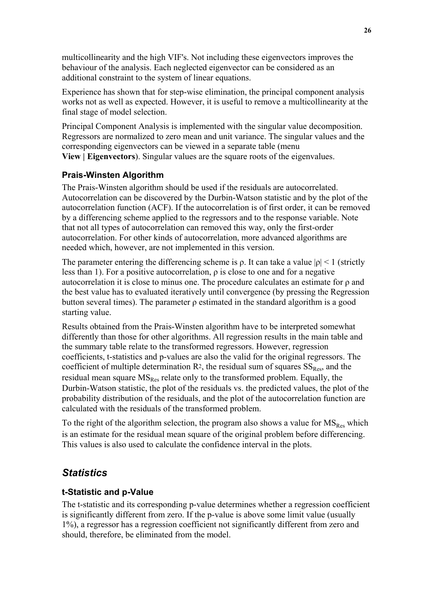<span id="page-25-0"></span>multicollinearity and the high VIF's. Not including these eigenvectors improves the behaviour of the analysis. Each neglected eigenvector can be considered as an additional constraint to the system of linear equations.

Experience has shown that for step-wise elimination, the principal component analysis works not as well as expected. However, it is useful to remove a multicollinearity at the final stage of model selection.

Principal Component Analysis is implemented with the singular value decomposition. Regressors are normalized to zero mean and unit variance. The singular values and the corresponding eigenvectors can be viewed in a separate table (menu **View | Eigenvectors**). Singular values are the square roots of the eigenvalues.

### **Prais-Winsten Algorithm**

The Prais-Winsten algorithm should be used if the residuals are autocorrelated. Autocorrelation can be discovered by the Durbin-Watson statistic and by the plot of the autocorrelation function (ACF). If the autocorrelation is of first order, it can be removed by a differencing scheme applied to the regressors and to the response variable. Note that not all types of autocorrelation can removed this way, only the first-order autocorrelation. For other kinds of autocorrelation, more advanced algorithms are needed which, however, are not implemented in this version.

The parameter entering the differencing scheme is  $\rho$ . It can take a value  $|\rho|$  < 1 (strictly less than 1). For a positive autocorrelation, ρ is close to one and for a negative autocorrelation it is close to minus one. The procedure calculates an estimate for ρ and the best value has to evaluated iteratively until convergence (by pressing the Regression button several times). The parameter ρ estimated in the standard algorithm is a good starting value.

Results obtained from the Prais-Winsten algorithm have to be interpreted somewhat differently than those for other algorithms. All regression results in the main table and the summary table relate to the transformed regressors. However, regression coefficients, t-statistics and p-values are also the valid for the original regressors. The coefficient of multiple determination  $R<sup>2</sup>$ , the residual sum of squares  $SS<sub>Res</sub>$ , and the residual mean square  $MS_{Res}$  relate only to the transformed problem. Equally, the Durbin-Watson statistic, the plot of the residuals vs. the predicted values, the plot of the probability distribution of the residuals, and the plot of the autocorrelation function are calculated with the residuals of the transformed problem.

To the right of the algorithm selection, the program also shows a value for  $MS_{Res}$  which is an estimate for the residual mean square of the original problem before differencing. This values is also used to calculate the confidence interval in the plots.

### *Statistics*

#### **t-Statistic and p-Value**

The t-statistic and its corresponding p-value determines whether a regression coefficient is significantly different from zero. If the p-value is above some limit value (usually 1%), a regressor has a regression coefficient not significantly different from zero and should, therefore, be eliminated from the model.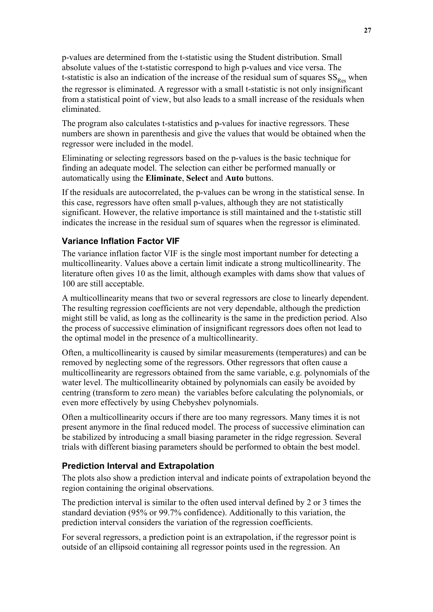p-values are determined from the t-statistic using the Student distribution. Small absolute values of the t-statistic correspond to high p-values and vice versa. The t-statistic is also an indication of the increase of the residual sum of squares  $SS_{p_{\text{av}}}$  when the regressor is eliminated. A regressor with a small t-statistic is not only insignificant from a statistical point of view, but also leads to a small increase of the residuals when eliminated.

The program also calculates t-statistics and p-values for inactive regressors. These numbers are shown in parenthesis and give the values that would be obtained when the regressor were included in the model.

Eliminating or selecting regressors based on the p-values is the basic technique for finding an adequate model. The selection can either be performed manually or automatically using the **Eliminate**, **Select** and **Auto** buttons.

If the residuals are autocorrelated, the p-values can be wrong in the statistical sense. In this case, regressors have often small p-values, although they are not statistically significant. However, the relative importance is still maintained and the t-statistic still indicates the increase in the residual sum of squares when the regressor is eliminated.

### **Variance Inflation Factor VIF**

The variance inflation factor VIF is the single most important number for detecting a multicollinearity. Values above a certain limit indicate a strong multicollinearity. The literature often gives 10 as the limit, although examples with dams show that values of 100 are still acceptable.

A multicollinearity means that two or several regressors are close to linearly dependent. The resulting regression coefficients are not very dependable, although the prediction might still be valid, as long as the collinearity is the same in the prediction period. Also the process of successive elimination of insignificant regressors does often not lead to the optimal model in the presence of a multicollinearity.

Often, a multicollinearity is caused by similar measurements (temperatures) and can be removed by neglecting some of the regressors. Other regressors that often cause a multicollinearity are regressors obtained from the same variable, e.g. polynomials of the water level. The multicollinearity obtained by polynomials can easily be avoided by centring (transform to zero mean) the variables before calculating the polynomials, or even more effectively by using Chebyshev polynomials.

Often a multicollinearity occurs if there are too many regressors. Many times it is not present anymore in the final reduced model. The process of successive elimination can be stabilized by introducing a small biasing parameter in the ridge regression. Several trials with different biasing parameters should be performed to obtain the best model.

### **Prediction Interval and Extrapolation**

The plots also show a prediction interval and indicate points of extrapolation beyond the region containing the original observations.

The prediction interval is similar to the often used interval defined by 2 or 3 times the standard deviation (95% or 99.7% confidence). Additionally to this variation, the prediction interval considers the variation of the regression coefficients.

For several regressors, a prediction point is an extrapolation, if the regressor point is outside of an ellipsoid containing all regressor points used in the regression. An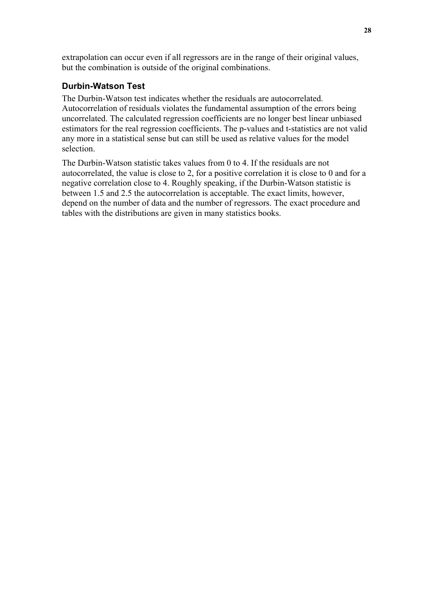extrapolation can occur even if all regressors are in the range of their original values, but the combination is outside of the original combinations.

#### **Durbin-Watson Test**

The Durbin-Watson test indicates whether the residuals are autocorrelated. Autocorrelation of residuals violates the fundamental assumption of the errors being uncorrelated. The calculated regression coefficients are no longer best linear unbiased estimators for the real regression coefficients. The p-values and t-statistics are not valid any more in a statistical sense but can still be used as relative values for the model selection.

The Durbin-Watson statistic takes values from 0 to 4. If the residuals are not autocorrelated, the value is close to 2, for a positive correlation it is close to 0 and for a negative correlation close to 4. Roughly speaking, if the Durbin-Watson statistic is between 1.5 and 2.5 the autocorrelation is acceptable. The exact limits, however, depend on the number of data and the number of regressors. The exact procedure and tables with the distributions are given in many statistics books.